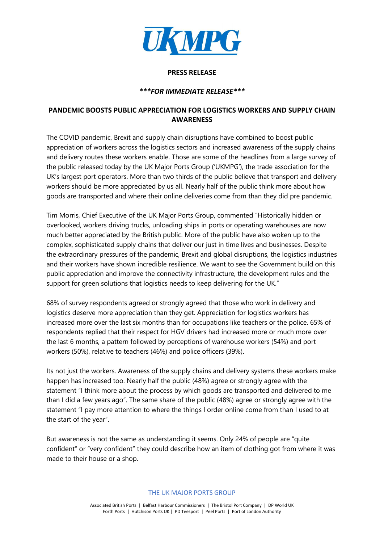

### **PRESS RELEASE**

## *\*\*\*FOR IMMEDIATE RELEASE\*\*\**

# **PANDEMIC BOOSTS PUBLIC APPRECIATION FOR LOGISTICS WORKERS AND SUPPLY CHAIN AWARENESS**

The COVID pandemic, Brexit and supply chain disruptions have combined to boost public appreciation of workers across the logistics sectors and increased awareness of the supply chains and delivery routes these workers enable. Those are some of the headlines from a large survey of the public released today by the UK Major Ports Group ('UKMPG'), the trade association for the UK's largest port operators. More than two thirds of the public believe that transport and delivery workers should be more appreciated by us all. Nearly half of the public think more about how goods are transported and where their online deliveries come from than they did pre pandemic.

Tim Morris, Chief Executive of the UK Major Ports Group, commented "Historically hidden or overlooked, workers driving trucks, unloading ships in ports or operating warehouses are now much better appreciated by the British public. More of the public have also woken up to the complex, sophisticated supply chains that deliver our just in time lives and businesses. Despite the extraordinary pressures of the pandemic, Brexit and global disruptions, the logistics industries and their workers have shown incredible resilience. We want to see the Government build on this public appreciation and improve the connectivity infrastructure, the development rules and the support for green solutions that logistics needs to keep delivering for the UK."

68% of survey respondents agreed or strongly agreed that those who work in delivery and logistics deserve more appreciation than they get. Appreciation for logistics workers has increased more over the last six months than for occupations like teachers or the police. 65% of respondents replied that their respect for HGV drivers had increased more or much more over the last 6 months, a pattern followed by perceptions of warehouse workers (54%) and port workers (50%), relative to teachers (46%) and police officers (39%).

Its not just the workers. Awareness of the supply chains and delivery systems these workers make happen has increased too. Nearly half the public (48%) agree or strongly agree with the statement "I think more about the process by which goods are transported and delivered to me than I did a few years ago". The same share of the public (48%) agree or strongly agree with the statement "I pay more attention to where the things I order online come from than I used to at the start of the year".

But awareness is not the same as understanding it seems. Only 24% of people are "quite confident" or "very confident" they could describe how an item of clothing got from where it was made to their house or a shop.

THE UK MAJOR PORTS GROUP